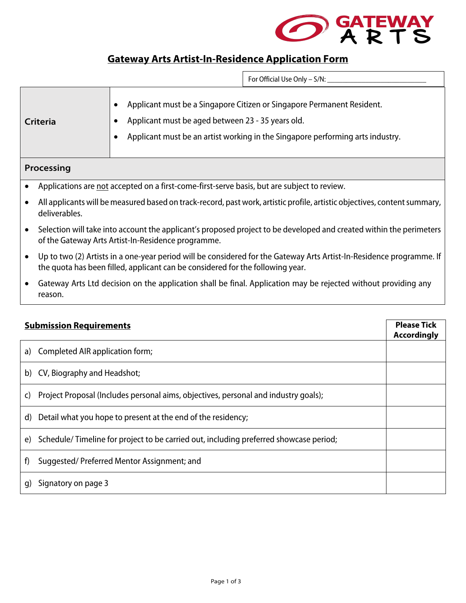

## **Gateway Arts Artist-In-Residence Application Form**

 $\Box$  For Official Use Only – S/N:

| Criteria   | Applicant must be a Singapore Citizen or Singapore Permanent Resident.<br>Applicant must be aged between 23 - 35 years old.<br>Applicant must be an artist working in the Singapore performing arts industry. |
|------------|---------------------------------------------------------------------------------------------------------------------------------------------------------------------------------------------------------------|
| Processing |                                                                                                                                                                                                               |

- Applications are not accepted on a first-come-first-serve basis, but are subject to review.
- All applicants will be measured based on track-record, past work, artistic profile, artistic objectives, content summary, deliverables.
- Selection will take into account the applicant's proposed project to be developed and created within the perimeters of the Gateway Arts Artist-In-Residence programme.
- Up to two (2) Artists in a one-year period will be considered for the Gateway Arts Artist-In-Residence programme. If the quota has been filled, applicant can be considered for the following year.
- Gateway Arts Ltd decision on the application shall be final. Application may be rejected without providing any reason.

| <b>Submission Requirements</b>                                                              |  |
|---------------------------------------------------------------------------------------------|--|
| Completed AIR application form;<br>a)                                                       |  |
| b) CV, Biography and Headshot;                                                              |  |
| Project Proposal (Includes personal aims, objectives, personal and industry goals);<br>C)   |  |
| Detail what you hope to present at the end of the residency;<br>d)                          |  |
| Schedule/Timeline for project to be carried out, including preferred showcase period;<br>e) |  |
| Suggested/Preferred Mentor Assignment; and<br>f)                                            |  |
| Signatory on page 3<br>q)                                                                   |  |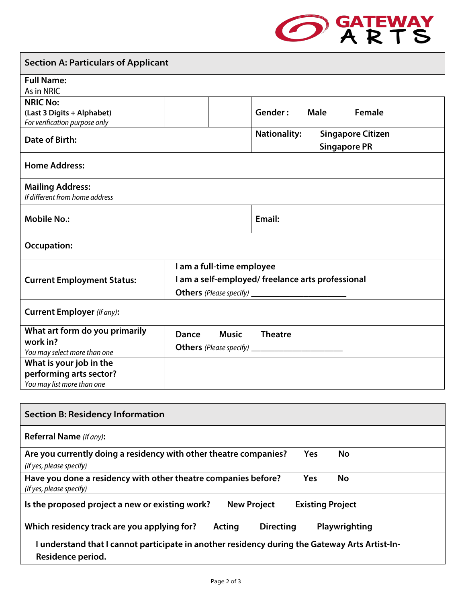

| <b>Section A: Particulars of Applicant</b>                                                 |                              |                                                  |                                                 |
|--------------------------------------------------------------------------------------------|------------------------------|--------------------------------------------------|-------------------------------------------------|
| <b>Full Name:</b>                                                                          |                              |                                                  |                                                 |
| As in NRIC                                                                                 |                              |                                                  |                                                 |
| <b>NRIC No:</b>                                                                            |                              |                                                  |                                                 |
| (Last 3 Digits + Alphabet)                                                                 |                              | Gender:<br><b>Male</b>                           | <b>Female</b>                                   |
| For verification purpose only                                                              |                              |                                                  |                                                 |
| Date of Birth:                                                                             |                              | <b>Nationality:</b>                              | <b>Singapore Citizen</b><br><b>Singapore PR</b> |
| <b>Home Address:</b>                                                                       |                              |                                                  |                                                 |
| <b>Mailing Address:</b>                                                                    |                              |                                                  |                                                 |
| If different from home address                                                             |                              |                                                  |                                                 |
|                                                                                            |                              |                                                  |                                                 |
| <b>Mobile No.:</b>                                                                         |                              | Email:                                           |                                                 |
| <b>Occupation:</b>                                                                         |                              |                                                  |                                                 |
|                                                                                            | I am a full-time employee    |                                                  |                                                 |
| <b>Current Employment Status:</b>                                                          |                              | I am a self-employed/freelance arts professional |                                                 |
|                                                                                            |                              |                                                  |                                                 |
| <b>Current Employer (If any):</b>                                                          |                              |                                                  |                                                 |
| What art form do you primarily                                                             | <b>Music</b><br><b>Dance</b> | <b>Theatre</b>                                   |                                                 |
| work in?                                                                                   |                              |                                                  |                                                 |
| You may select more than one                                                               |                              |                                                  |                                                 |
| What is your job in the                                                                    |                              |                                                  |                                                 |
| performing arts sector?                                                                    |                              |                                                  |                                                 |
| You may list more than one                                                                 |                              |                                                  |                                                 |
|                                                                                            |                              |                                                  |                                                 |
| <b>Section B: Residency Information</b>                                                    |                              |                                                  |                                                 |
| Referral Name (If any):                                                                    |                              |                                                  |                                                 |
| Are you currently doing a residency with other theatre companies?                          |                              | <b>Yes</b>                                       | No                                              |
| (If yes, please specify)                                                                   |                              |                                                  |                                                 |
| Have you done a residency with other theatre companies before?<br>(If yes, please specify) |                              | Yes                                              | No                                              |

**Is the proposed project a new or existing work? New Project Existing Project** 

| Which residency track are you applying for? | Acting | <b>Directing</b> | Playwrighting |  |
|---------------------------------------------|--------|------------------|---------------|--|

|                   | I understand that I cannot participate in another residency during the Gateway Arts Artist-In- |
|-------------------|------------------------------------------------------------------------------------------------|
| Residence period. |                                                                                                |